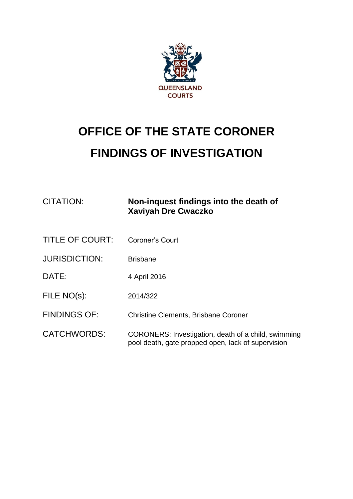

# **OFFICE OF THE STATE CORONER FINDINGS OF INVESTIGATION**

| CITATION:              | Non-inquest findings into the death of<br><b>Xaviyah Dre Cwaczko</b>                                      |
|------------------------|-----------------------------------------------------------------------------------------------------------|
| <b>TITLE OF COURT:</b> | Coroner's Court                                                                                           |
| <b>JURISDICTION:</b>   | <b>Brisbane</b>                                                                                           |
| DATE:                  | 4 April 2016                                                                                              |
| FILE NO(s):            | 2014/322                                                                                                  |
| <b>FINDINGS OF:</b>    | <b>Christine Clements, Brisbane Coroner</b>                                                               |
| <b>CATCHWORDS:</b>     | CORONERS: Investigation, death of a child, swimming<br>pool death, gate propped open, lack of supervision |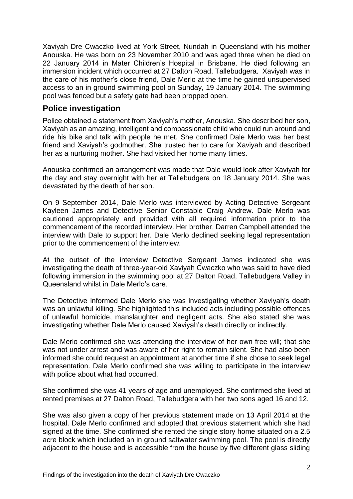Xaviyah Dre Cwaczko lived at York Street, Nundah in Queensland with his mother Anouska. He was born on 23 November 2010 and was aged three when he died on 22 January 2014 in Mater Children's Hospital in Brisbane. He died following an immersion incident which occurred at 27 Dalton Road, Tallebudgera. Xaviyah was in the care of his mother's close friend, Dale Merlo at the time he gained unsupervised access to an in ground swimming pool on Sunday, 19 January 2014. The swimming pool was fenced but a safety gate had been propped open.

## **Police investigation**

Police obtained a statement from Xaviyah's mother, Anouska. She described her son, Xaviyah as an amazing, intelligent and compassionate child who could run around and ride his bike and talk with people he met. She confirmed Dale Merlo was her best friend and Xaviyah's godmother. She trusted her to care for Xaviyah and described her as a nurturing mother. She had visited her home many times.

Anouska confirmed an arrangement was made that Dale would look after Xaviyah for the day and stay overnight with her at Tallebudgera on 18 January 2014. She was devastated by the death of her son.

On 9 September 2014, Dale Merlo was interviewed by Acting Detective Sergeant Kayleen James and Detective Senior Constable Craig Andrew. Dale Merlo was cautioned appropriately and provided with all required information prior to the commencement of the recorded interview. Her brother, Darren Campbell attended the interview with Dale to support her. Dale Merlo declined seeking legal representation prior to the commencement of the interview.

At the outset of the interview Detective Sergeant James indicated she was investigating the death of three-year-old Xaviyah Cwaczko who was said to have died following immersion in the swimming pool at 27 Dalton Road, Tallebudgera Valley in Queensland whilst in Dale Merlo's care.

The Detective informed Dale Merlo she was investigating whether Xaviyah's death was an unlawful killing. She highlighted this included acts including possible offences of unlawful homicide, manslaughter and negligent acts. She also stated she was investigating whether Dale Merlo caused Xaviyah's death directly or indirectly.

Dale Merlo confirmed she was attending the interview of her own free will; that she was not under arrest and was aware of her right to remain silent. She had also been informed she could request an appointment at another time if she chose to seek legal representation. Dale Merlo confirmed she was willing to participate in the interview with police about what had occurred.

She confirmed she was 41 years of age and unemployed. She confirmed she lived at rented premises at 27 Dalton Road, Tallebudgera with her two sons aged 16 and 12.

She was also given a copy of her previous statement made on 13 April 2014 at the hospital. Dale Merlo confirmed and adopted that previous statement which she had signed at the time. She confirmed she rented the single story home situated on a 2.5 acre block which included an in ground saltwater swimming pool. The pool is directly adjacent to the house and is accessible from the house by five different glass sliding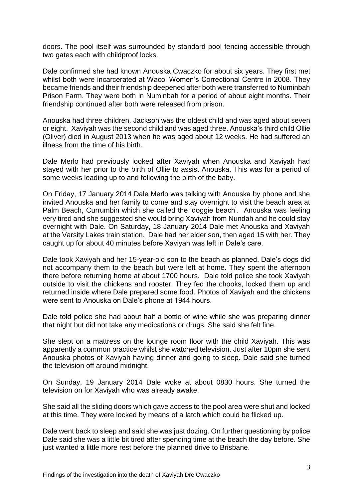doors. The pool itself was surrounded by standard pool fencing accessible through two gates each with childproof locks.

Dale confirmed she had known Anouska Cwaczko for about six years. They first met whilst both were incarcerated at Wacol Women's Correctional Centre in 2008. They became friends and their friendship deepened after both were transferred to Numinbah Prison Farm. They were both in Numinbah for a period of about eight months. Their friendship continued after both were released from prison.

Anouska had three children. Jackson was the oldest child and was aged about seven or eight. Xaviyah was the second child and was aged three. Anouska's third child Ollie (Oliver) died in August 2013 when he was aged about 12 weeks. He had suffered an illness from the time of his birth.

Dale Merlo had previously looked after Xaviyah when Anouska and Xaviyah had stayed with her prior to the birth of Ollie to assist Anouska. This was for a period of some weeks leading up to and following the birth of the baby.

On Friday, 17 January 2014 Dale Merlo was talking with Anouska by phone and she invited Anouska and her family to come and stay overnight to visit the beach area at Palm Beach, Currumbin which she called the 'doggie beach'. Anouska was feeling very tired and she suggested she would bring Xaviyah from Nundah and he could stay overnight with Dale. On Saturday, 18 January 2014 Dale met Anouska and Xaviyah at the Varsity Lakes train station. Dale had her elder son, then aged 15 with her. They caught up for about 40 minutes before Xaviyah was left in Dale's care.

Dale took Xaviyah and her 15-year-old son to the beach as planned. Dale's dogs did not accompany them to the beach but were left at home. They spent the afternoon there before returning home at about 1700 hours. Dale told police she took Xaviyah outside to visit the chickens and rooster. They fed the chooks, locked them up and returned inside where Dale prepared some food. Photos of Xaviyah and the chickens were sent to Anouska on Dale's phone at 1944 hours.

Dale told police she had about half a bottle of wine while she was preparing dinner that night but did not take any medications or drugs. She said she felt fine.

She slept on a mattress on the lounge room floor with the child Xaviyah. This was apparently a common practice whilst she watched television. Just after 10pm she sent Anouska photos of Xaviyah having dinner and going to sleep. Dale said she turned the television off around midnight.

On Sunday, 19 January 2014 Dale woke at about 0830 hours. She turned the television on for Xaviyah who was already awake.

She said all the sliding doors which gave access to the pool area were shut and locked at this time. They were locked by means of a latch which could be flicked up.

Dale went back to sleep and said she was just dozing. On further questioning by police Dale said she was a little bit tired after spending time at the beach the day before. She just wanted a little more rest before the planned drive to Brisbane.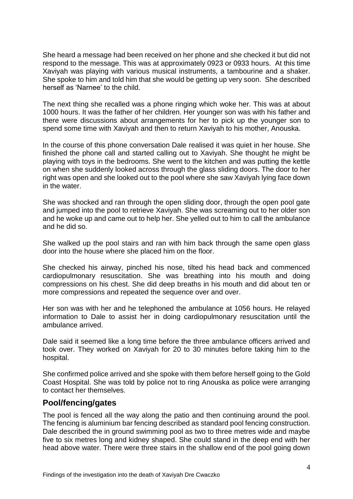She heard a message had been received on her phone and she checked it but did not respond to the message. This was at approximately 0923 or 0933 hours. At this time Xaviyah was playing with various musical instruments, a tambourine and a shaker. She spoke to him and told him that she would be getting up very soon. She described herself as 'Narnee' to the child.

The next thing she recalled was a phone ringing which woke her. This was at about 1000 hours. It was the father of her children. Her younger son was with his father and there were discussions about arrangements for her to pick up the younger son to spend some time with Xaviyah and then to return Xaviyah to his mother, Anouska.

In the course of this phone conversation Dale realised it was quiet in her house. She finished the phone call and started calling out to Xaviyah. She thought he might be playing with toys in the bedrooms. She went to the kitchen and was putting the kettle on when she suddenly looked across through the glass sliding doors. The door to her right was open and she looked out to the pool where she saw Xaviyah lying face down in the water.

She was shocked and ran through the open sliding door, through the open pool gate and jumped into the pool to retrieve Xaviyah. She was screaming out to her older son and he woke up and came out to help her. She yelled out to him to call the ambulance and he did so.

She walked up the pool stairs and ran with him back through the same open glass door into the house where she placed him on the floor.

She checked his airway, pinched his nose, tilted his head back and commenced cardiopulmonary resuscitation. She was breathing into his mouth and doing compressions on his chest. She did deep breaths in his mouth and did about ten or more compressions and repeated the sequence over and over.

Her son was with her and he telephoned the ambulance at 1056 hours. He relayed information to Dale to assist her in doing cardiopulmonary resuscitation until the ambulance arrived.

Dale said it seemed like a long time before the three ambulance officers arrived and took over. They worked on Xaviyah for 20 to 30 minutes before taking him to the hospital.

She confirmed police arrived and she spoke with them before herself going to the Gold Coast Hospital. She was told by police not to ring Anouska as police were arranging to contact her themselves.

### **Pool/fencing/gates**

The pool is fenced all the way along the patio and then continuing around the pool. The fencing is aluminium bar fencing described as standard pool fencing construction. Dale described the in ground swimming pool as two to three metres wide and maybe five to six metres long and kidney shaped. She could stand in the deep end with her head above water. There were three stairs in the shallow end of the pool going down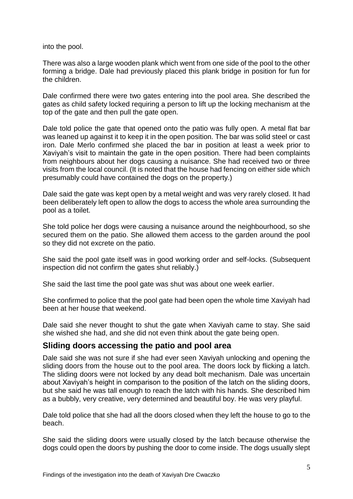into the pool.

There was also a large wooden plank which went from one side of the pool to the other forming a bridge. Dale had previously placed this plank bridge in position for fun for the children.

Dale confirmed there were two gates entering into the pool area. She described the gates as child safety locked requiring a person to lift up the locking mechanism at the top of the gate and then pull the gate open.

Dale told police the gate that opened onto the patio was fully open. A metal flat bar was leaned up against it to keep it in the open position. The bar was solid steel or cast iron. Dale Merlo confirmed she placed the bar in position at least a week prior to Xaviyah's visit to maintain the gate in the open position. There had been complaints from neighbours about her dogs causing a nuisance. She had received two or three visits from the local council. (It is noted that the house had fencing on either side which presumably could have contained the dogs on the property.)

Dale said the gate was kept open by a metal weight and was very rarely closed. It had been deliberately left open to allow the dogs to access the whole area surrounding the pool as a toilet.

She told police her dogs were causing a nuisance around the neighbourhood, so she secured them on the patio. She allowed them access to the garden around the pool so they did not excrete on the patio.

She said the pool gate itself was in good working order and self-locks. (Subsequent inspection did not confirm the gates shut reliably.)

She said the last time the pool gate was shut was about one week earlier.

She confirmed to police that the pool gate had been open the whole time Xaviyah had been at her house that weekend.

Dale said she never thought to shut the gate when Xaviyah came to stay. She said she wished she had, and she did not even think about the gate being open.

# **Sliding doors accessing the patio and pool area**

Dale said she was not sure if she had ever seen Xaviyah unlocking and opening the sliding doors from the house out to the pool area. The doors lock by flicking a latch. The sliding doors were not locked by any dead bolt mechanism. Dale was uncertain about Xaviyah's height in comparison to the position of the latch on the sliding doors, but she said he was tall enough to reach the latch with his hands. She described him as a bubbly, very creative, very determined and beautiful boy. He was very playful.

Dale told police that she had all the doors closed when they left the house to go to the beach.

She said the sliding doors were usually closed by the latch because otherwise the dogs could open the doors by pushing the door to come inside. The dogs usually slept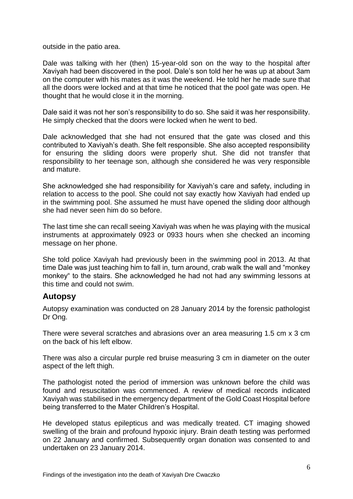outside in the patio area.

Dale was talking with her (then) 15-year-old son on the way to the hospital after Xaviyah had been discovered in the pool. Dale's son told her he was up at about 3am on the computer with his mates as it was the weekend. He told her he made sure that all the doors were locked and at that time he noticed that the pool gate was open. He thought that he would close it in the morning.

Dale said it was not her son's responsibility to do so. She said it was her responsibility. He simply checked that the doors were locked when he went to bed.

Dale acknowledged that she had not ensured that the gate was closed and this contributed to Xaviyah's death. She felt responsible. She also accepted responsibility for ensuring the sliding doors were properly shut. She did not transfer that responsibility to her teenage son, although she considered he was very responsible and mature.

She acknowledged she had responsibility for Xaviyah's care and safety, including in relation to access to the pool. She could not say exactly how Xaviyah had ended up in the swimming pool. She assumed he must have opened the sliding door although she had never seen him do so before.

The last time she can recall seeing Xaviyah was when he was playing with the musical instruments at approximately 0923 or 0933 hours when she checked an incoming message on her phone.

She told police Xaviyah had previously been in the swimming pool in 2013. At that time Dale was just teaching him to fall in, turn around, crab walk the wall and "monkey monkey" to the stairs. She acknowledged he had not had any swimming lessons at this time and could not swim.

# **Autopsy**

Autopsy examination was conducted on 28 January 2014 by the forensic pathologist Dr Ong.

There were several scratches and abrasions over an area measuring 1.5 cm x 3 cm on the back of his left elbow.

There was also a circular purple red bruise measuring 3 cm in diameter on the outer aspect of the left thigh.

The pathologist noted the period of immersion was unknown before the child was found and resuscitation was commenced. A review of medical records indicated Xaviyah was stabilised in the emergency department of the Gold Coast Hospital before being transferred to the Mater Children's Hospital.

He developed status epilepticus and was medically treated. CT imaging showed swelling of the brain and profound hypoxic injury. Brain death testing was performed on 22 January and confirmed. Subsequently organ donation was consented to and undertaken on 23 January 2014.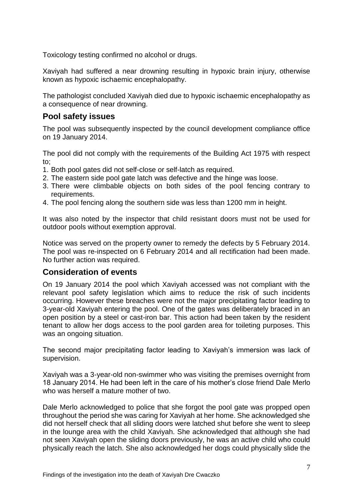Toxicology testing confirmed no alcohol or drugs.

Xaviyah had suffered a near drowning resulting in hypoxic brain injury, otherwise known as hypoxic ischaemic encephalopathy.

The pathologist concluded Xaviyah died due to hypoxic ischaemic encephalopathy as a consequence of near drowning.

## **Pool safety issues**

The pool was subsequently inspected by the council development compliance office on 19 January 2014.

The pool did not comply with the requirements of the Building Act 1975 with respect to;

- 1. Both pool gates did not self-close or self-latch as required.
- 2. The eastern side pool gate latch was defective and the hinge was loose.
- 3. There were climbable objects on both sides of the pool fencing contrary to requirements.
- 4. The pool fencing along the southern side was less than 1200 mm in height.

It was also noted by the inspector that child resistant doors must not be used for outdoor pools without exemption approval.

Notice was served on the property owner to remedy the defects by 5 February 2014. The pool was re-inspected on 6 February 2014 and all rectification had been made. No further action was required.

### **Consideration of events**

On 19 January 2014 the pool which Xaviyah accessed was not compliant with the relevant pool safety legislation which aims to reduce the risk of such incidents occurring. However these breaches were not the major precipitating factor leading to 3-year-old Xaviyah entering the pool. One of the gates was deliberately braced in an open position by a steel or cast-iron bar. This action had been taken by the resident tenant to allow her dogs access to the pool garden area for toileting purposes. This was an ongoing situation.

The second major precipitating factor leading to Xaviyah's immersion was lack of supervision.

Xaviyah was a 3-year-old non-swimmer who was visiting the premises overnight from 18 January 2014. He had been left in the care of his mother's close friend Dale Merlo who was herself a mature mother of two.

Dale Merlo acknowledged to police that she forgot the pool gate was propped open throughout the period she was caring for Xaviyah at her home. She acknowledged she did not herself check that all sliding doors were latched shut before she went to sleep in the lounge area with the child Xaviyah. She acknowledged that although she had not seen Xaviyah open the sliding doors previously, he was an active child who could physically reach the latch. She also acknowledged her dogs could physically slide the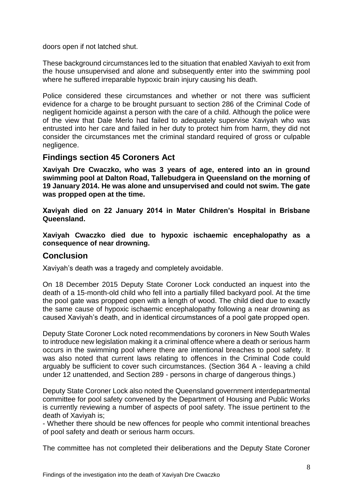doors open if not latched shut.

These background circumstances led to the situation that enabled Xaviyah to exit from the house unsupervised and alone and subsequently enter into the swimming pool where he suffered irreparable hypoxic brain injury causing his death.

Police considered these circumstances and whether or not there was sufficient evidence for a charge to be brought pursuant to section 286 of the Criminal Code of negligent homicide against a person with the care of a child. Although the police were of the view that Dale Merlo had failed to adequately supervise Xaviyah who was entrusted into her care and failed in her duty to protect him from harm, they did not consider the circumstances met the criminal standard required of gross or culpable negligence.

## **Findings section 45 Coroners Act**

**Xaviyah Dre Cwaczko, who was 3 years of age, entered into an in ground swimming pool at Dalton Road, Tallebudgera in Queensland on the morning of 19 January 2014. He was alone and unsupervised and could not swim. The gate was propped open at the time.** 

**Xaviyah died on 22 January 2014 in Mater Children's Hospital in Brisbane Queensland.**

**Xaviyah Cwaczko died due to hypoxic ischaemic encephalopathy as a consequence of near drowning.**

### **Conclusion**

Xaviyah's death was a tragedy and completely avoidable.

On 18 December 2015 Deputy State Coroner Lock conducted an inquest into the death of a 15-month-old child who fell into a partially filled backyard pool. At the time the pool gate was propped open with a length of wood. The child died due to exactly the same cause of hypoxic ischaemic encephalopathy following a near drowning as caused Xaviyah's death, and in identical circumstances of a pool gate propped open.

Deputy State Coroner Lock noted recommendations by coroners in New South Wales to introduce new legislation making it a criminal offence where a death or serious harm occurs in the swimming pool where there are intentional breaches to pool safety. It was also noted that current laws relating to offences in the Criminal Code could arguably be sufficient to cover such circumstances. (Section 364 A - leaving a child under 12 unattended, and Section 289 - persons in charge of dangerous things.)

Deputy State Coroner Lock also noted the Queensland government interdepartmental committee for pool safety convened by the Department of Housing and Public Works is currently reviewing a number of aspects of pool safety. The issue pertinent to the death of Xaviyah is;

- Whether there should be new offences for people who commit intentional breaches of pool safety and death or serious harm occurs.

The committee has not completed their deliberations and the Deputy State Coroner